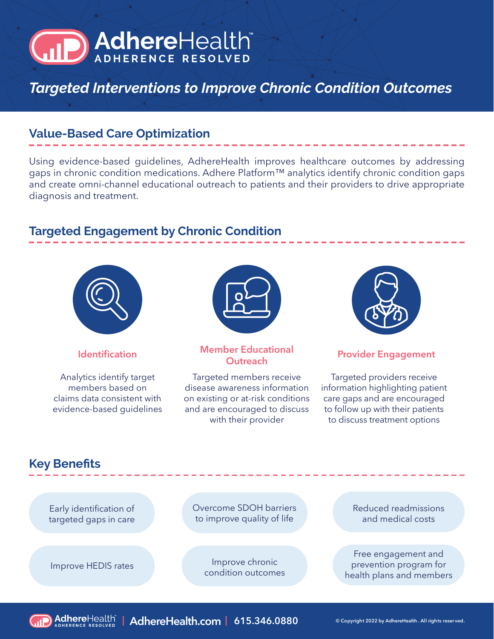# AdhereHealth

*Targeted Interventions to Improve Chronic Condition Outcomes*

### **Value-Based Care Optimization**

Using evidence-based guidelines, AdhereHealth improves healthcare outcomes by addressing gaps in chronic condition medications. Adhere Platform™ analytics identify chronic condition gaps and create omni-channel educational outreach to patients and their providers to drive appropriate diagnosis and treatment.

### **Targeted Engagement by Chronic Condition**



Analytics identify target members based on claims data consistent with evidence-based guidelines



## **Identification Member Educational**

Targeted members receive disease awareness information on existing or at-risk conditions and are encouraged to discuss with their provider



### **Provider Engagement**

Targeted providers receive information highlighting patient care gaps and are encouraged to follow up with their patients to discuss treatment options

### **Key Benefits**

Early identification of targeted gaps in care Overcome SDOH barriers to improve quality of life

Improve chronic Improve HEDIS rates<br>condition outcomes Reduced readmissions and medical costs

Free engagement and prevention program for health plans and members

**| AdhereHealth.com | 615.346.0880 © Copyright 2022 by AdhereHealth . All rights reser ved.**